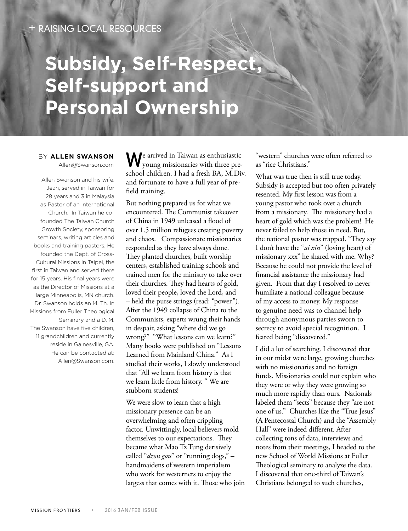## **Subsidy, Self-Respect, Self-support and Personal Ownership**

BY **ALLEN SWANSON** Allen@Swanson.com

Allen Swanson and his wife, Jean, served in Taiwan for 28 years and 3 in Malaysia as Pastor of an International Church. In Taiwan he cofounded The Taiwan Church Growth Society, sponsoring seminars, writing articles and books and training pastors. He founded the Dept. of Cross-Cultural Missions in Taipei, the first in Taiwan and served there for 15 years. His final years were as the Director of Missions at a large Minneapolis, MN church. Dr. Swanson holds an M. Th. In Missions from Fuller Theological Seminary and a D. M. The Swanson have five children, 11 grandchildren and currently reside in Gainesville, GA. He can be contacted at: Allen@Swanson.com.

We arrived in Taiwan as enthusiastic young missionaries with three preschool children. I had a fresh BA, M.Div. and fortunate to have a full year of prefield training.

But nothing prepared us for what we encountered. The Communist takeover of China in 1949 unleased a flood of over 1.5 million refugees creating poverty and chaos. Compassionate missionaries responded as they have always done. They planted churches, built worship centers, established training schools and trained men for the ministry to take over their churches. They had hearts of gold, loved their people, loved the Lord, and – held the purse strings (read: "power."). After the 1949 collapse of China to the Communists, experts wrung their hands in despair, asking "where did we go wrong?" "What lessons can we learn?" Many books were published on "Lessons Learned from Mainland China." As I studied their works, I slowly understood that "All we learn from history is that we learn little from history. " We are stubborn students!

We were slow to learn that a high missionary presence can be an overwhelming and often crippling factor. Unwittingly, local believers mold themselves to our expectations. They became what Mao Tz Tung derisively called "*dzou gou*" or "running dogs," – handmaidens of western imperialism who work for westerners to enjoy the largess that comes with it. Those who join "western" churches were often referred to as "rice Christians."

What was true then is still true today. Subsidy is accepted but too often privately resented. My first lesson was from a young pastor who took over a church from a missionary. The missionary had a heart of gold which was the problem! He never failed to help those in need. But, the national pastor was trapped. "They say I don't have the "*ai xin*" (loving heart) of missionary xxx" he shared with me. Why? Because he could not provide the level of financial assistance the missionary had given. From that day I resolved to never humiliate a national colleague because of my access to money. My response to genuine need was to channel help through anonymous parties sworn to secrecy to avoid special recognition. I feared being "discovered."

I did a lot of searching. I discovered that in our midst were large, growing churches with no missionaries and no foreign funds. Missionaries could not explain who they were or why they were growing so much more rapidly than ours. Nationals labeled them "sects" because they "are not one of us." Churches like the "True Jesus" (A Pentecostal Church) and the "Assembly Hall" were indeed different. After collecting tons of data, interviews and notes from their meetings, I headed to the new School of World Missions at Fuller Theological seminary to analyze the data. I discovered that one-third of Taiwan's Christians belonged to such churches,